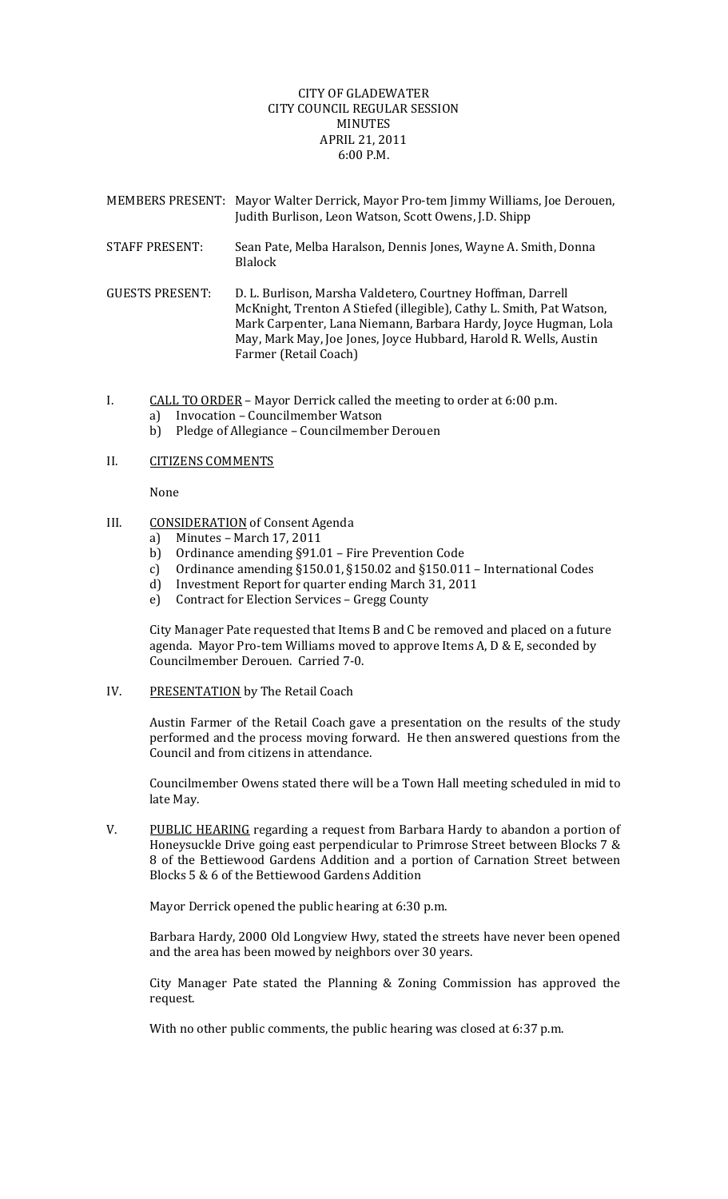## CITY OF GLADEWATER CITY COUNCIL REGULAR SESSION MINUTES APRIL 21, 2011 6:00 P.M.

| <b>MEMBERS PRESENT:</b> | Mayor Walter Derrick, Mayor Pro-tem Jimmy Williams, Joe Derouen,<br>Judith Burlison, Leon Watson, Scott Owens, J.D. Shipp                                                                                                                                                                           |
|-------------------------|-----------------------------------------------------------------------------------------------------------------------------------------------------------------------------------------------------------------------------------------------------------------------------------------------------|
| <b>STAFF PRESENT:</b>   | Sean Pate, Melba Haralson, Dennis Jones, Wayne A. Smith, Donna<br><b>Blalock</b>                                                                                                                                                                                                                    |
| <b>GUESTS PRESENT:</b>  | D. L. Burlison, Marsha Valdetero, Courtney Hoffman, Darrell<br>McKnight, Trenton A Stiefed (illegible), Cathy L. Smith, Pat Watson,<br>Mark Carpenter, Lana Niemann, Barbara Hardy, Joyce Hugman, Lola<br>May, Mark May, Joe Jones, Joyce Hubbard, Harold R. Wells, Austin<br>Farmer (Retail Coach) |

- I. CALL TO ORDER Mayor Derrick called the meeting to order at 6:00 p.m. a) Invocation – Councilmember Watson
	- b) Pledge of Allegiance Councilmember Derouen

## II. **CITIZENS COMMENTS**

None

## III. CONSIDERATION of Consent Agenda

- a) Minutes March 17, 2011
- b) Ordinance amending §91.01 Fire Prevention Code
- c) Ordinance amending §150.01, §150.02 and §150.011 International Codes
- d) Investment Report for quarter ending March 31, 2011
- e) Contract for Election Services Gregg County

City Manager Pate requested that Items B and C be removed and placed on a future agenda. Mayor Pro-tem Williams moved to approve Items A, D & E, seconded by Councilmember Derouen. Carried 7‐0.

IV. PRESENTATION by The Retail Coach

Austin Farmer of the Retail Coach gave a presentation on the results of the study performed and the process moving forward. He then answered questions from the Council and from citizens in attendance.

Councilmember Owens stated there will be a Town Hall meeting scheduled in mid to late May.

V. PUBLIC HEARING regarding a request from Barbara Hardy to abandon a portion of Honeysuckle Drive going east perpendicular to Primrose Street between Blocks 7 & 8 of the Bettiewood Gardens Addition and a portion of Carnation Street between Blocks 5 & 6 of the Bettiewood Gardens Addition

Mayor Derrick opened the public hearing at 6:30 p.m.

Barbara Hardy, 2000 Old Longview Hwy, stated the streets have never been opened and the area has been mowed by neighbors over 30 years.

City Manager Pate stated the Planning & Zoning Commission has approved the request.

With no other public comments, the public hearing was closed at 6:37 p.m.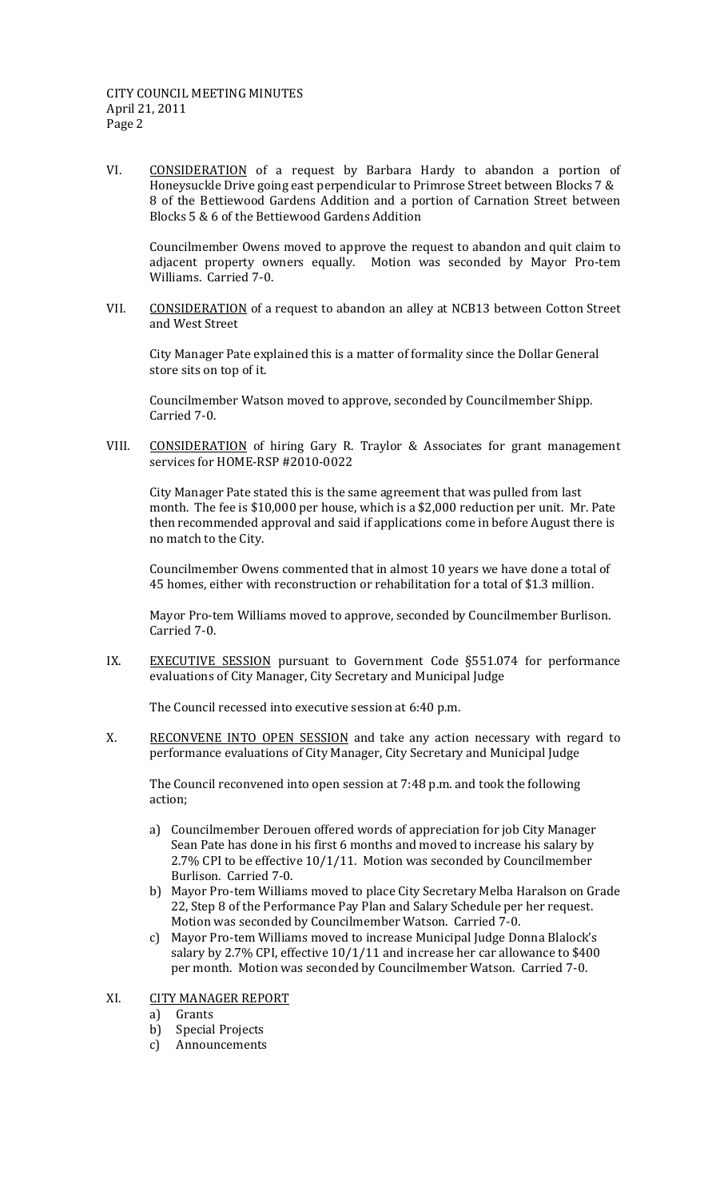VI. CONSIDERATION of a request by Barbara Hardy to abandon a portion of Honeysuckle Drive going east perpendicular to Primrose Street between Blocks 7 & 8 of the Bettiewood Gardens Addition and a portion of Carnation Street between Blocks 5 & 6 of the Bettiewood Gardens Addition

 Councilmember Owens moved to approve the request to abandon and quit claim to adjacent property owners equally. Motion was seconded by Mayor Pro-tem Williams. Carried 7‐0.

VII. CONSIDERATION of a request to abandon an alley at NCB13 between Cotton Street and West Street

City Manager Pate explained this is a matter of formality since the Dollar General store sits on top of it.

Councilmember Watson moved to approve, seconded by Councilmember Shipp. Carried 7‐0.

VIII. CONSIDERATION of hiring Gary R. Traylor & Associates for grant management services for HOME‐RSP #2010‐0022

City Manager Pate stated this is the same agreement that was pulled from last month. The fee is \$10,000 per house, which is a \$2,000 reduction per unit. Mr. Pate then recommended approval and said if applications come in before August there is no match to the City.

Councilmember Owens commented that in almost 10 years we have done a total of 45 homes, either with reconstruction or rehabilitation for a total of \$1.3 million.

Mayor Pro‐tem Williams moved to approve, seconded by Councilmember Burlison. Carried 7‐0.

IX. EXECUTIVE SESSION pursuant to Government Code §551.074 for performance evaluations of City Manager, City Secretary and Municipal Judge

The Council recessed into executive session at 6:40 p.m.

X. RECONVENE INTO OPEN SESSION and take any action necessary with regard to performance evaluations of City Manager, City Secretary and Municipal Judge

The Council reconvened into open session at 7:48 p.m. and took the following action;

- a) Councilmember Derouen offered words of appreciation for job City Manager Sean Pate has done in his first 6 months and moved to increase his salary by 2.7% CPI to be effective 10/1/11. Motion was seconded by Councilmember Burlison. Carried 7‐0.
- b) Mayor Pro‐tem Williams moved to place City Secretary Melba Haralson on Grade 22, Step 8 of the Performance Pay Plan and Salary Schedule per her request. Motion was seconded by Councilmember Watson. Carried 7‐0.
- c) Mayor Pro‐tem Williams moved to increase Municipal Judge Donna Blalock's salary by 2.7% CPI, effective 10/1/11 and increase her car allowance to \$400 per month. Motion was seconded by Councilmember Watson. Carried 7‐0.
- XI. CITY MANAGER REPORT
	- a) Grants
	- b) Special Projects
	- c) Announcements